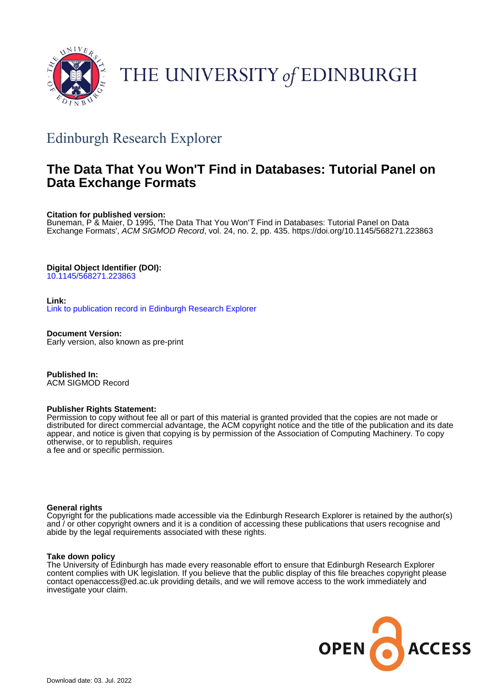

# THE UNIVERSITY of EDINBURGH

# Edinburgh Research Explorer

## **The Data That You Won'T Find in Databases: Tutorial Panel on Data Exchange Formats**

**Citation for published version:**

Buneman, P & Maier, D 1995, 'The Data That You Won'T Find in Databases: Tutorial Panel on Data Exchange Formats', ACM SIGMOD Record, vol. 24, no. 2, pp. 435.<https://doi.org/10.1145/568271.223863>

#### **Digital Object Identifier (DOI):**

[10.1145/568271.223863](https://doi.org/10.1145/568271.223863)

**Link:** [Link to publication record in Edinburgh Research Explorer](https://www.research.ed.ac.uk/en/publications/7810a9e2-bd39-46d8-9b50-34c08fabe62c)

**Document Version:** Early version, also known as pre-print

**Published In:** ACM SIGMOD Record

#### **Publisher Rights Statement:**

Permission to copy without fee all or part of this material is granted provided that the copies are not made or distributed for direct commercial advantage, the ACM copyright notice and the title of the publication and its date appear, and notice is given that copying is by permission of the Association of Computing Machinery. To copy otherwise, or to republish, requires a fee and or specific permission.

#### **General rights**

Copyright for the publications made accessible via the Edinburgh Research Explorer is retained by the author(s) and / or other copyright owners and it is a condition of accessing these publications that users recognise and abide by the legal requirements associated with these rights.

#### **Take down policy**

The University of Edinburgh has made every reasonable effort to ensure that Edinburgh Research Explorer content complies with UK legislation. If you believe that the public display of this file breaches copyright please contact openaccess@ed.ac.uk providing details, and we will remove access to the work immediately and investigate your claim.